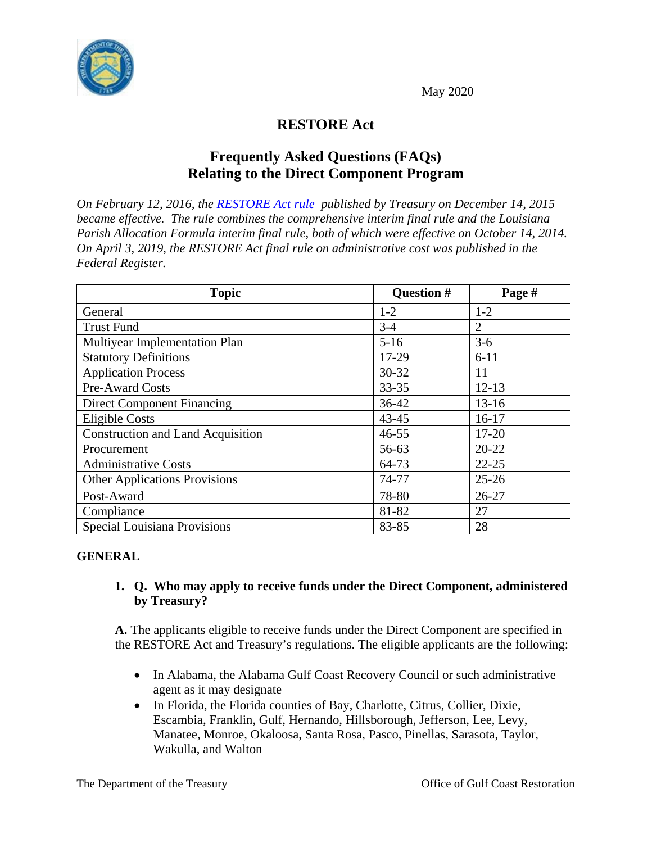



# **RESTORE Act**

# **Frequently Asked Questions (FAQs) Relating to the Direct Component Program**

*On February 12, 2016, the [RESTORE Act rule](https://www.treasury.gov/services/restore-act/Documents/Final%20Rule_Federal%20Register_2015-31431.pdf) published by Treasury on December 14, 2015 became effective. The rule combines the comprehensive interim final rule and the Louisiana Parish Allocation Formula interim final rule, both of which were effective on October 14, 2014. On April 3, 2019, the RESTORE Act final rule on administrative cost was published in the Federal Register.*

| <b>Topic</b>                             | Question # | Page #    |
|------------------------------------------|------------|-----------|
| General                                  | $1 - 2$    | $1 - 2$   |
| <b>Trust Fund</b>                        | $3 - 4$    | 2         |
| Multiyear Implementation Plan            | $5 - 16$   | $3-6$     |
| <b>Statutory Definitions</b>             | 17-29      | $6 - 11$  |
| <b>Application Process</b>               | 30-32      | 11        |
| Pre-Award Costs                          | $33 - 35$  | $12 - 13$ |
| <b>Direct Component Financing</b>        | $36 - 42$  | $13 - 16$ |
| <b>Eligible Costs</b>                    | $43 - 45$  | $16 - 17$ |
| <b>Construction and Land Acquisition</b> | $46 - 55$  | $17 - 20$ |
| Procurement                              | 56-63      | $20 - 22$ |
| <b>Administrative Costs</b>              | 64-73      | $22 - 25$ |
| <b>Other Applications Provisions</b>     | 74-77      | $25 - 26$ |
| Post-Award                               | 78-80      | $26 - 27$ |
| Compliance                               | 81-82      | 27        |
| Special Louisiana Provisions             | 83-85      | 28        |

## **GENERAL**

### **1. Q. Who may apply to receive funds under the Direct Component, administered by Treasury?**

**A.** The applicants eligible to receive funds under the Direct Component are specified in the RESTORE Act and Treasury's regulations. The eligible applicants are the following:

- In Alabama, the Alabama Gulf Coast Recovery Council or such administrative agent as it may designate
- In Florida, the Florida counties of Bay, Charlotte, Citrus, Collier, Dixie, Escambia, Franklin, Gulf, Hernando, Hillsborough, Jefferson, Lee, Levy, Manatee, Monroe, Okaloosa, Santa Rosa, Pasco, Pinellas, Sarasota, Taylor, Wakulla, and Walton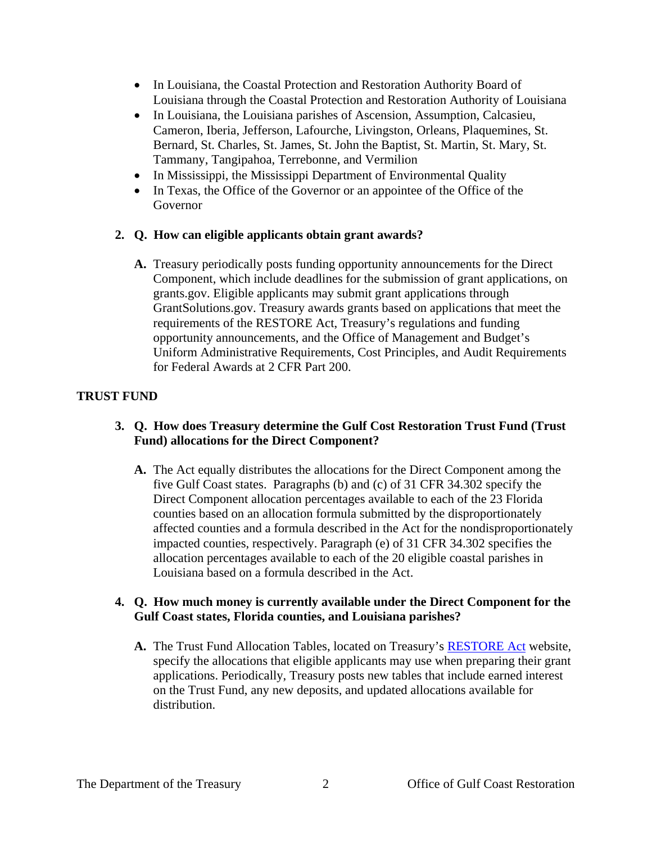- In Louisiana, the Coastal Protection and Restoration Authority Board of Louisiana through the Coastal Protection and Restoration Authority of Louisiana
- In Louisiana, the Louisiana parishes of Ascension, Assumption, Calcasieu, Cameron, Iberia, Jefferson, Lafourche, Livingston, Orleans, Plaquemines, St. Bernard, St. Charles, St. James, St. John the Baptist, St. Martin, St. Mary, St. Tammany, Tangipahoa, Terrebonne, and Vermilion
- In Mississippi, the Mississippi Department of Environmental Quality
- In Texas, the Office of the Governor or an appointee of the Office of the Governor

## **2. Q. How can eligible applicants obtain grant awards?**

**A.** Treasury periodically posts funding opportunity announcements for the Direct Component, which include deadlines for the submission of grant applications, on grants.gov. Eligible applicants may submit grant applications through GrantSolutions.gov. Treasury awards grants based on applications that meet the requirements of the RESTORE Act, Treasury's regulations and funding opportunity announcements, and the Office of Management and Budget's Uniform Administrative Requirements, Cost Principles, and Audit Requirements for Federal Awards at 2 CFR Part 200.

## **TRUST FUND**

## **3. Q. How does Treasury determine the Gulf Cost Restoration Trust Fund (Trust Fund) allocations for the Direct Component?**

**A.** The Act equally distributes the allocations for the Direct Component among the five Gulf Coast states. Paragraphs (b) and (c) of 31 CFR 34.302 specify the Direct Component allocation percentages available to each of the 23 Florida counties based on an allocation formula submitted by the disproportionately affected counties and a formula described in the Act for the nondisproportionately impacted counties, respectively. Paragraph (e) of 31 CFR 34.302 specifies the allocation percentages available to each of the 20 eligible coastal parishes in Louisiana based on a formula described in the Act.

### **4. Q. How much money is currently available under the Direct Component for the Gulf Coast states, Florida counties, and Louisiana parishes?**

**A.** The Trust Fund Allocation Tables, located on Treasury's [RESTORE Act](https://home.treasury.gov/policy-issues/financial-markets-financial-institutions-and-fiscal-service/restore-act) website, specify the allocations that eligible applicants may use when preparing their grant applications. Periodically, Treasury posts new tables that include earned interest on the Trust Fund, any new deposits, and updated allocations available for distribution.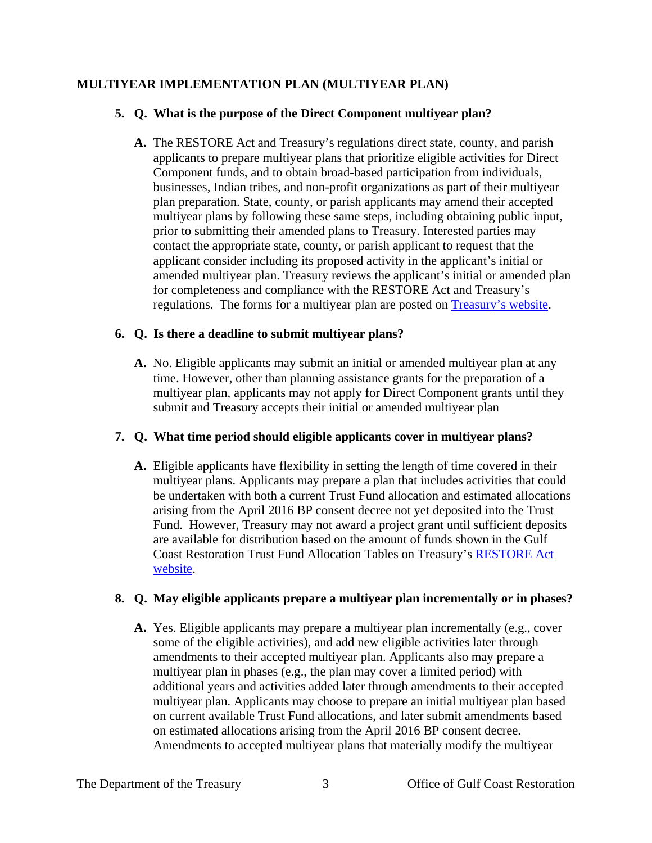## **MULTIYEAR IMPLEMENTATION PLAN (MULTIYEAR PLAN)**

### **5. Q. What is the purpose of the Direct Component multiyear plan?**

**A.** The RESTORE Act and Treasury's regulations direct state, county, and parish applicants to prepare multiyear plans that prioritize eligible activities for Direct Component funds, and to obtain broad-based participation from individuals, businesses, Indian tribes, and non-profit organizations as part of their multiyear plan preparation. State, county, or parish applicants may amend their accepted multiyear plans by following these same steps, including obtaining public input, prior to submitting their amended plans to Treasury. Interested parties may contact the appropriate state, county, or parish applicant to request that the applicant consider including its proposed activity in the applicant's initial or amended multiyear plan. Treasury reviews the applicant's initial or amended plan for completeness and compliance with the RESTORE Act and Treasury's regulations. The forms for a multiyear plan are posted on [Treasury's website.](https://home.treasury.gov/policy-issues/financial-markets-financial-institutions-and-fiscal-service/restore-act)

## **6. Q. Is there a deadline to submit multiyear plans?**

**A.** No. Eligible applicants may submit an initial or amended multiyear plan at any time. However, other than planning assistance grants for the preparation of a multiyear plan, applicants may not apply for Direct Component grants until they submit and Treasury accepts their initial or amended multiyear plan

## **7. Q. What time period should eligible applicants cover in multiyear plans?**

**A.** Eligible applicants have flexibility in setting the length of time covered in their multiyear plans. Applicants may prepare a plan that includes activities that could be undertaken with both a current Trust Fund allocation and estimated allocations arising from the April 2016 BP consent decree not yet deposited into the Trust Fund. However, Treasury may not award a project grant until sufficient deposits are available for distribution based on the amount of funds shown in the Gulf Coast Restoration Trust Fund Allocation Tables on Treasury's [RESTORE Act](https://home.treasury.gov/policy-issues/financial-markets-financial-institutions-and-fiscal-service/restore-act)  [website.](https://home.treasury.gov/policy-issues/financial-markets-financial-institutions-and-fiscal-service/restore-act)

## **8. Q. May eligible applicants prepare a multiyear plan incrementally or in phases?**

**A.** Yes. Eligible applicants may prepare a multiyear plan incrementally (e.g., cover some of the eligible activities), and add new eligible activities later through amendments to their accepted multiyear plan. Applicants also may prepare a multiyear plan in phases (e.g., the plan may cover a limited period) with additional years and activities added later through amendments to their accepted multiyear plan. Applicants may choose to prepare an initial multiyear plan based on current available Trust Fund allocations, and later submit amendments based on estimated allocations arising from the April 2016 BP consent decree. Amendments to accepted multiyear plans that materially modify the multiyear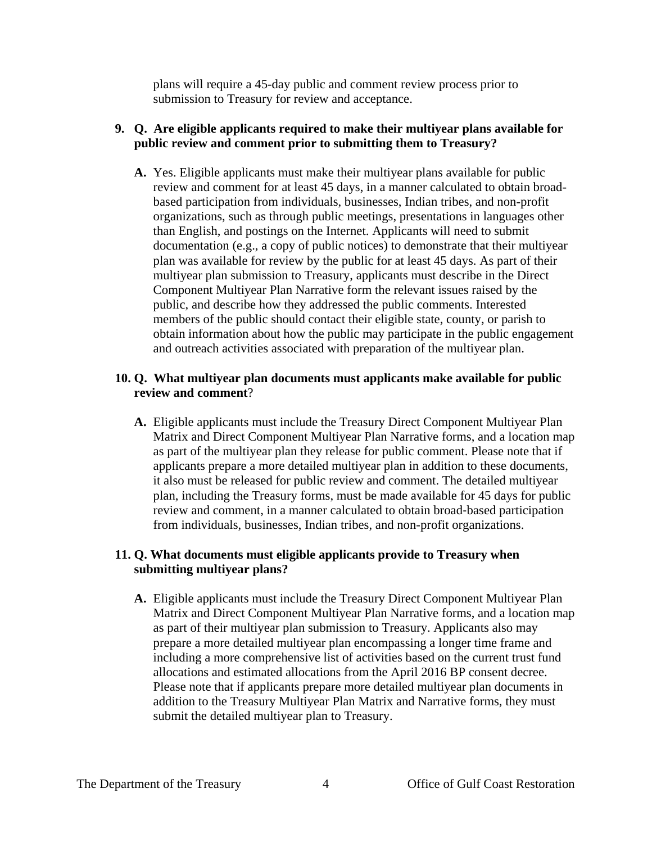plans will require a 45-day public and comment review process prior to submission to Treasury for review and acceptance.

### **9. Q. Are eligible applicants required to make their multiyear plans available for public review and comment prior to submitting them to Treasury?**

**A.** Yes. Eligible applicants must make their multiyear plans available for public review and comment for at least 45 days, in a manner calculated to obtain broadbased participation from individuals, businesses, Indian tribes, and non-profit organizations, such as through public meetings, presentations in languages other than English, and postings on the Internet. Applicants will need to submit documentation (e.g., a copy of public notices) to demonstrate that their multiyear plan was available for review by the public for at least 45 days. As part of their multiyear plan submission to Treasury, applicants must describe in the Direct Component Multiyear Plan Narrative form the relevant issues raised by the public, and describe how they addressed the public comments. Interested members of the public should contact their eligible state, county, or parish to obtain information about how the public may participate in the public engagement and outreach activities associated with preparation of the multiyear plan.

### **10. Q. What multiyear plan documents must applicants make available for public review and comment**?

**A.** Eligible applicants must include the Treasury Direct Component Multiyear Plan Matrix and Direct Component Multiyear Plan Narrative forms, and a location map as part of the multiyear plan they release for public comment. Please note that if applicants prepare a more detailed multiyear plan in addition to these documents, it also must be released for public review and comment. The detailed multiyear plan, including the Treasury forms, must be made available for 45 days for public review and comment, in a manner calculated to obtain broad‐based participation from individuals, businesses, Indian tribes, and non-profit organizations.

## **11. Q. What documents must eligible applicants provide to Treasury when submitting multiyear plans?**

**A.** Eligible applicants must include the Treasury Direct Component Multiyear Plan Matrix and Direct Component Multiyear Plan Narrative forms, and a location map as part of their multiyear plan submission to Treasury. Applicants also may prepare a more detailed multiyear plan encompassing a longer time frame and including a more comprehensive list of activities based on the current trust fund allocations and estimated allocations from the April 2016 BP consent decree. Please note that if applicants prepare more detailed multiyear plan documents in addition to the Treasury Multiyear Plan Matrix and Narrative forms, they must submit the detailed multiyear plan to Treasury.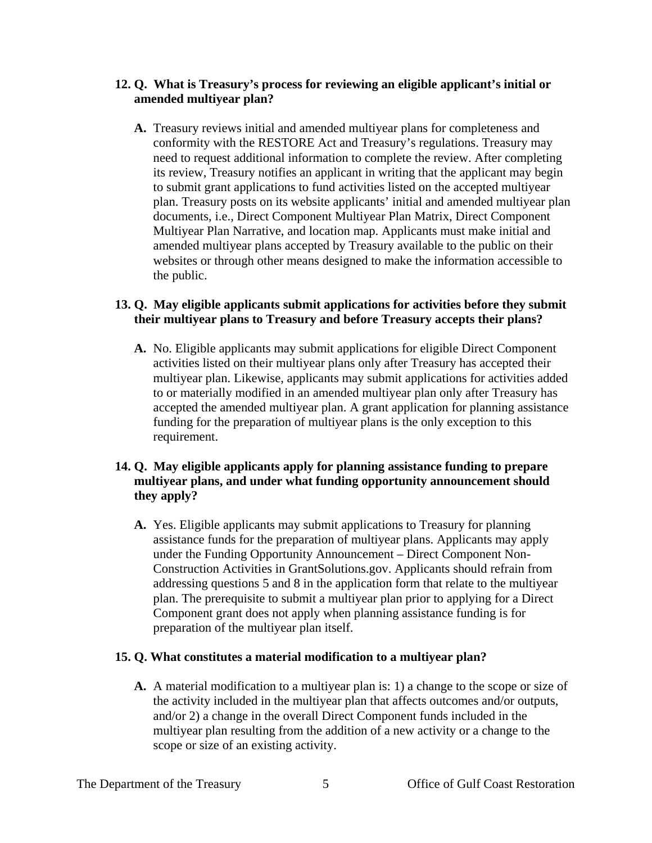### **12. Q. What is Treasury's process for reviewing an eligible applicant's initial or amended multiyear plan?**

**A.** Treasury reviews initial and amended multiyear plans for completeness and conformity with the RESTORE Act and Treasury's regulations. Treasury may need to request additional information to complete the review. After completing its review, Treasury notifies an applicant in writing that the applicant may begin to submit grant applications to fund activities listed on the accepted multiyear plan. Treasury posts on its website applicants' initial and amended multiyear plan documents, i.e., Direct Component Multiyear Plan Matrix, Direct Component Multiyear Plan Narrative, and location map. Applicants must make initial and amended multiyear plans accepted by Treasury available to the public on their websites or through other means designed to make the information accessible to the public.

### **13. Q. May eligible applicants submit applications for activities before they submit their multiyear plans to Treasury and before Treasury accepts their plans?**

**A.** No. Eligible applicants may submit applications for eligible Direct Component activities listed on their multiyear plans only after Treasury has accepted their multiyear plan. Likewise, applicants may submit applications for activities added to or materially modified in an amended multiyear plan only after Treasury has accepted the amended multiyear plan. A grant application for planning assistance funding for the preparation of multiyear plans is the only exception to this requirement.

### **14. Q. May eligible applicants apply for planning assistance funding to prepare multiyear plans, and under what funding opportunity announcement should they apply?**

**A.** Yes. Eligible applicants may submit applications to Treasury for planning assistance funds for the preparation of multiyear plans. Applicants may apply under the Funding Opportunity Announcement – Direct Component Non-Construction Activities in GrantSolutions.gov. Applicants should refrain from addressing questions 5 and 8 in the application form that relate to the multiyear plan. The prerequisite to submit a multiyear plan prior to applying for a Direct Component grant does not apply when planning assistance funding is for preparation of the multiyear plan itself.

### **15. Q. What constitutes a material modification to a multiyear plan?**

**A.** A material modification to a multiyear plan is: 1) a change to the scope or size of the activity included in the multiyear plan that affects outcomes and/or outputs, and/or 2) a change in the overall Direct Component funds included in the multiyear plan resulting from the addition of a new activity or a change to the scope or size of an existing activity.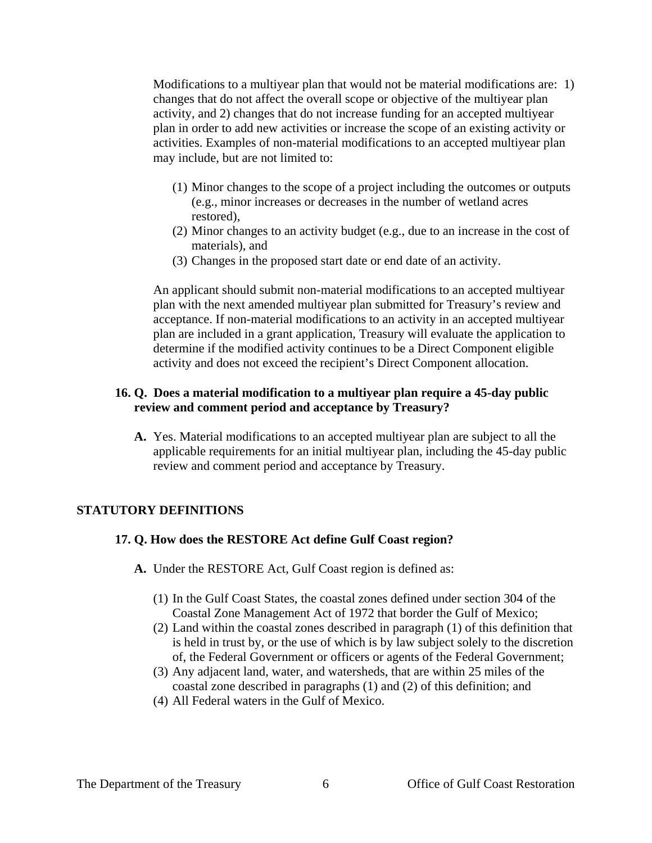Modifications to a multiyear plan that would not be material modifications are: 1) changes that do not affect the overall scope or objective of the multiyear plan activity, and 2) changes that do not increase funding for an accepted multiyear plan in order to add new activities or increase the scope of an existing activity or activities. Examples of non-material modifications to an accepted multiyear plan may include, but are not limited to:

- (1) Minor changes to the scope of a project including the outcomes or outputs (e.g., minor increases or decreases in the number of wetland acres restored),
- (2) Minor changes to an activity budget (e.g., due to an increase in the cost of materials), and
- (3) Changes in the proposed start date or end date of an activity.

An applicant should submit non-material modifications to an accepted multiyear plan with the next amended multiyear plan submitted for Treasury's review and acceptance. If non-material modifications to an activity in an accepted multiyear plan are included in a grant application, Treasury will evaluate the application to determine if the modified activity continues to be a Direct Component eligible activity and does not exceed the recipient's Direct Component allocation.

### **16. Q. Does a material modification to a multiyear plan require a 45-day public review and comment period and acceptance by Treasury?**

**A.** Yes. Material modifications to an accepted multiyear plan are subject to all the applicable requirements for an initial multiyear plan, including the 45-day public review and comment period and acceptance by Treasury.

#### **STATUTORY DEFINITIONS**

#### **17. Q. How does the RESTORE Act define Gulf Coast region?**

- **A.** Under the RESTORE Act, Gulf Coast region is defined as:
	- (1) In the Gulf Coast States, the coastal zones defined under section 304 of the Coastal Zone Management Act of 1972 that border the Gulf of Mexico;
	- (2) Land within the coastal zones described in paragraph (1) of this definition that is held in trust by, or the use of which is by law subject solely to the discretion of, the Federal Government or officers or agents of the Federal Government;
	- (3) Any adjacent land, water, and watersheds, that are within 25 miles of the coastal zone described in paragraphs (1) and (2) of this definition; and
	- (4) All Federal waters in the Gulf of Mexico.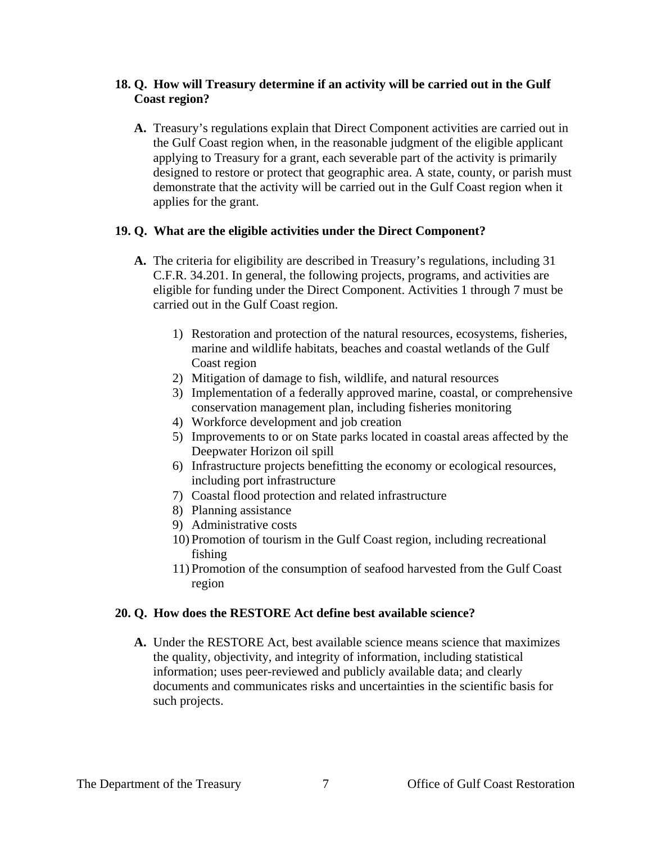### **18. Q. How will Treasury determine if an activity will be carried out in the Gulf Coast region?**

**A.** Treasury's regulations explain that Direct Component activities are carried out in the Gulf Coast region when, in the reasonable judgment of the eligible applicant applying to Treasury for a grant, each severable part of the activity is primarily designed to restore or protect that geographic area. A state, county, or parish must demonstrate that the activity will be carried out in the Gulf Coast region when it applies for the grant.

### **19. Q. What are the eligible activities under the Direct Component?**

- **A.** The criteria for eligibility are described in Treasury's regulations, including 31 C.F.R. 34.201. In general, the following projects, programs, and activities are eligible for funding under the Direct Component. Activities 1 through 7 must be carried out in the Gulf Coast region.
	- 1) Restoration and protection of the natural resources, ecosystems, fisheries, marine and wildlife habitats, beaches and coastal wetlands of the Gulf Coast region
	- 2) Mitigation of damage to fish, wildlife, and natural resources
	- 3) Implementation of a federally approved marine, coastal, or comprehensive conservation management plan, including fisheries monitoring
	- 4) Workforce development and job creation
	- 5) Improvements to or on State parks located in coastal areas affected by the Deepwater Horizon oil spill
	- 6) Infrastructure projects benefitting the economy or ecological resources, including port infrastructure
	- 7) Coastal flood protection and related infrastructure
	- 8) Planning assistance
	- 9) Administrative costs
	- 10) Promotion of tourism in the Gulf Coast region, including recreational fishing
	- 11) Promotion of the consumption of seafood harvested from the Gulf Coast region

## **20. Q. How does the RESTORE Act define best available science?**

**A.** Under the RESTORE Act, best available science means science that maximizes the quality, objectivity, and integrity of information, including statistical information; uses peer-reviewed and publicly available data; and clearly documents and communicates risks and uncertainties in the scientific basis for such projects.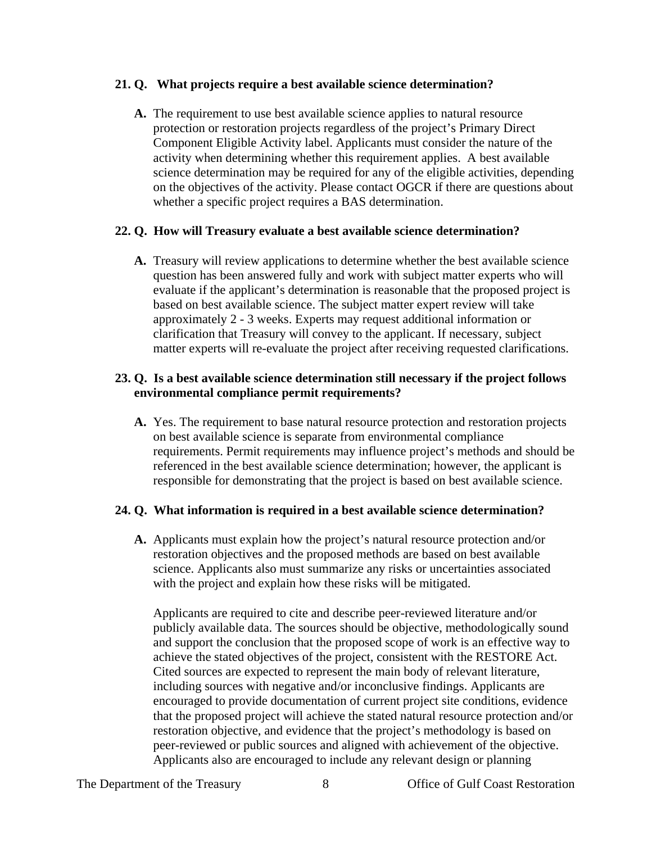### **21. Q. What projects require a best available science determination?**

**A.** The requirement to use best available science applies to natural resource protection or restoration projects regardless of the project's Primary Direct Component Eligible Activity label. Applicants must consider the nature of the activity when determining whether this requirement applies. A best available science determination may be required for any of the eligible activities, depending on the objectives of the activity. Please contact OGCR if there are questions about whether a specific project requires a BAS determination.

### **22. Q. How will Treasury evaluate a best available science determination?**

**A.** Treasury will review applications to determine whether the best available science question has been answered fully and work with subject matter experts who will evaluate if the applicant's determination is reasonable that the proposed project is based on best available science. The subject matter expert review will take approximately 2 - 3 weeks. Experts may request additional information or clarification that Treasury will convey to the applicant. If necessary, subject matter experts will re-evaluate the project after receiving requested clarifications.

### **23. Q. Is a best available science determination still necessary if the project follows environmental compliance permit requirements?**

**A.** Yes. The requirement to base natural resource protection and restoration projects on best available science is separate from environmental compliance requirements. Permit requirements may influence project's methods and should be referenced in the best available science determination; however, the applicant is responsible for demonstrating that the project is based on best available science.

### **24. Q. What information is required in a best available science determination?**

**A.** Applicants must explain how the project's natural resource protection and/or restoration objectives and the proposed methods are based on best available science. Applicants also must summarize any risks or uncertainties associated with the project and explain how these risks will be mitigated.

Applicants are required to cite and describe peer-reviewed literature and/or publicly available data. The sources should be objective, methodologically sound and support the conclusion that the proposed scope of work is an effective way to achieve the stated objectives of the project, consistent with the RESTORE Act. Cited sources are expected to represent the main body of relevant literature, including sources with negative and/or inconclusive findings. Applicants are encouraged to provide documentation of current project site conditions, evidence that the proposed project will achieve the stated natural resource protection and/or restoration objective, and evidence that the project's methodology is based on peer-reviewed or public sources and aligned with achievement of the objective. Applicants also are encouraged to include any relevant design or planning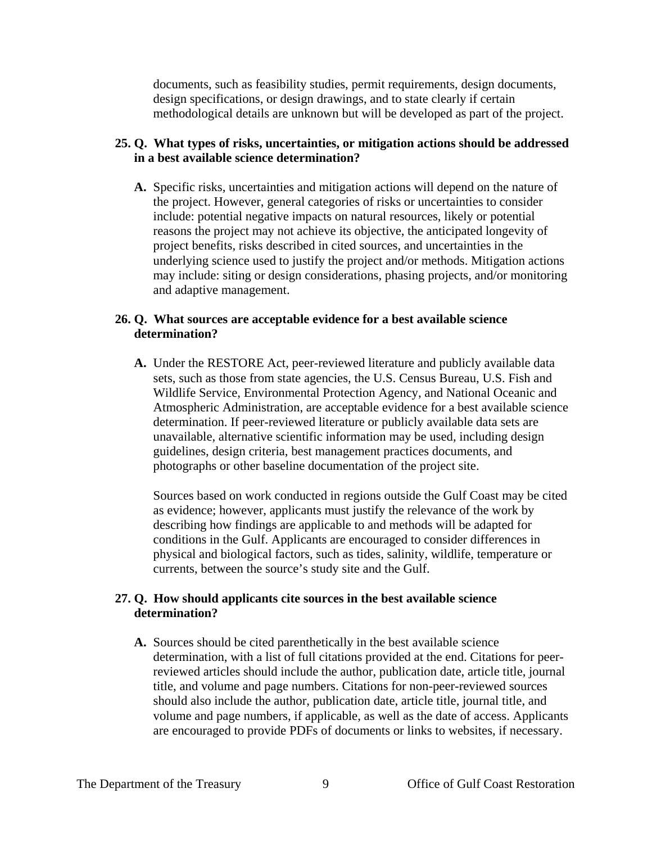documents, such as feasibility studies, permit requirements, design documents, design specifications, or design drawings, and to state clearly if certain methodological details are unknown but will be developed as part of the project.

### **25. Q. What types of risks, uncertainties, or mitigation actions should be addressed in a best available science determination?**

**A.** Specific risks, uncertainties and mitigation actions will depend on the nature of the project. However, general categories of risks or uncertainties to consider include: potential negative impacts on natural resources, likely or potential reasons the project may not achieve its objective, the anticipated longevity of project benefits, risks described in cited sources, and uncertainties in the underlying science used to justify the project and/or methods. Mitigation actions may include: siting or design considerations, phasing projects, and/or monitoring and adaptive management.

### **26. Q. What sources are acceptable evidence for a best available science determination?**

**A.** Under the RESTORE Act, peer-reviewed literature and publicly available data sets, such as those from state agencies, the U.S. Census Bureau, U.S. Fish and Wildlife Service, Environmental Protection Agency, and National Oceanic and Atmospheric Administration, are acceptable evidence for a best available science determination. If peer-reviewed literature or publicly available data sets are unavailable, alternative scientific information may be used, including design guidelines, design criteria, best management practices documents, and photographs or other baseline documentation of the project site.

Sources based on work conducted in regions outside the Gulf Coast may be cited as evidence; however, applicants must justify the relevance of the work by describing how findings are applicable to and methods will be adapted for conditions in the Gulf. Applicants are encouraged to consider differences in physical and biological factors, such as tides, salinity, wildlife, temperature or currents, between the source's study site and the Gulf.

### **27. Q. How should applicants cite sources in the best available science determination?**

**A.** Sources should be cited parenthetically in the best available science determination, with a list of full citations provided at the end. Citations for peerreviewed articles should include the author, publication date, article title, journal title, and volume and page numbers. Citations for non-peer-reviewed sources should also include the author, publication date, article title, journal title, and volume and page numbers, if applicable, as well as the date of access. Applicants are encouraged to provide PDFs of documents or links to websites, if necessary.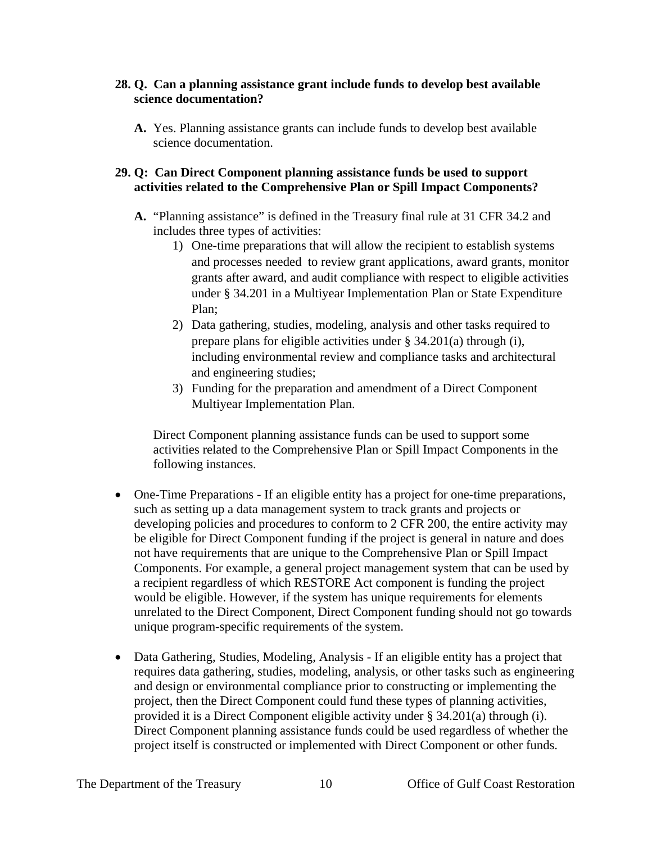### **28. Q. Can a planning assistance grant include funds to develop best available science documentation?**

**A.** Yes. Planning assistance grants can include funds to develop best available science documentation.

### **29. Q: Can Direct Component planning assistance funds be used to support activities related to the Comprehensive Plan or Spill Impact Components?**

- **A.** "Planning assistance" is defined in the Treasury final rule at 31 CFR 34.2 and includes three types of activities:
	- 1) One-time preparations that will allow the recipient to establish systems and processes needed to review grant applications, award grants, monitor grants after award, and audit compliance with respect to eligible activities under § 34.201 in a Multiyear Implementation Plan or State Expenditure Plan;
	- 2) Data gathering, studies, modeling, analysis and other tasks required to prepare plans for eligible activities under § 34.201(a) through (i), including environmental review and compliance tasks and architectural and engineering studies;
	- 3) Funding for the preparation and amendment of a Direct Component Multiyear Implementation Plan.

Direct Component planning assistance funds can be used to support some activities related to the Comprehensive Plan or Spill Impact Components in the following instances.

- One-Time Preparations If an eligible entity has a project for one-time preparations, such as setting up a data management system to track grants and projects or developing policies and procedures to conform to 2 CFR 200, the entire activity may be eligible for Direct Component funding if the project is general in nature and does not have requirements that are unique to the Comprehensive Plan or Spill Impact Components. For example, a general project management system that can be used by a recipient regardless of which RESTORE Act component is funding the project would be eligible. However, if the system has unique requirements for elements unrelated to the Direct Component, Direct Component funding should not go towards unique program-specific requirements of the system.
- Data Gathering, Studies, Modeling, Analysis If an eligible entity has a project that requires data gathering, studies, modeling, analysis, or other tasks such as engineering and design or environmental compliance prior to constructing or implementing the project, then the Direct Component could fund these types of planning activities, provided it is a Direct Component eligible activity under § 34.201(a) through (i). Direct Component planning assistance funds could be used regardless of whether the project itself is constructed or implemented with Direct Component or other funds.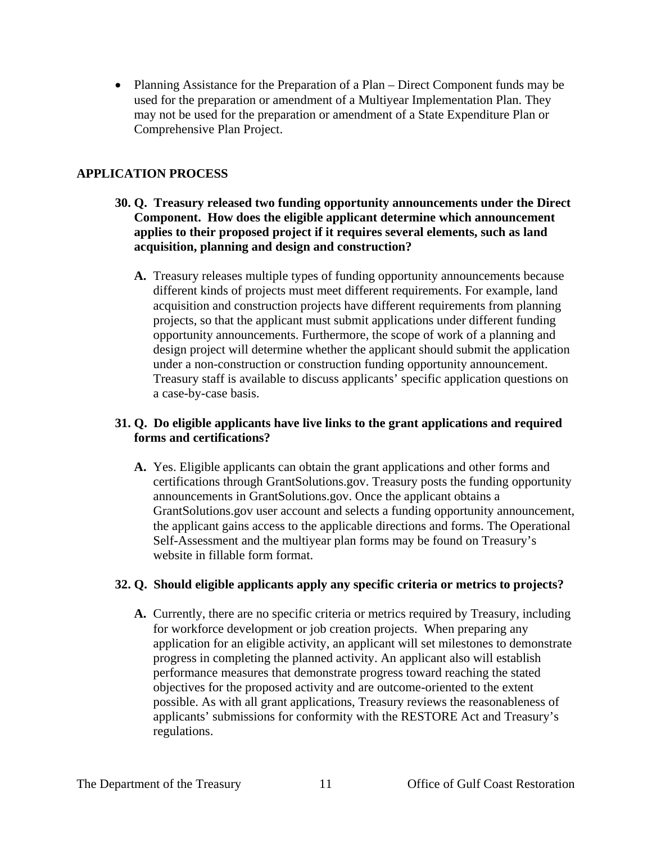• Planning Assistance for the Preparation of a Plan – Direct Component funds may be used for the preparation or amendment of a Multiyear Implementation Plan. They may not be used for the preparation or amendment of a State Expenditure Plan or Comprehensive Plan Project.

## **APPLICATION PROCESS**

- **30. Q. Treasury released two funding opportunity announcements under the Direct Component. How does the eligible applicant determine which announcement applies to their proposed project if it requires several elements, such as land acquisition, planning and design and construction?**
	- **A.** Treasury releases multiple types of funding opportunity announcements because different kinds of projects must meet different requirements. For example, land acquisition and construction projects have different requirements from planning projects, so that the applicant must submit applications under different funding opportunity announcements. Furthermore, the scope of work of a planning and design project will determine whether the applicant should submit the application under a non-construction or construction funding opportunity announcement. Treasury staff is available to discuss applicants' specific application questions on a case-by-case basis.

## **31. Q. Do eligible applicants have live links to the grant applications and required forms and certifications?**

**A.** Yes. Eligible applicants can obtain the grant applications and other forms and certifications through GrantSolutions.gov. Treasury posts the funding opportunity announcements in GrantSolutions.gov. Once the applicant obtains a GrantSolutions.gov user account and selects a funding opportunity announcement, the applicant gains access to the applicable directions and forms. The Operational Self-Assessment and the multiyear plan forms may be found on Treasury's website in fillable form format.

### **32. Q. Should eligible applicants apply any specific criteria or metrics to projects?**

**A.** Currently, there are no specific criteria or metrics required by Treasury, including for workforce development or job creation projects. When preparing any application for an eligible activity, an applicant will set milestones to demonstrate progress in completing the planned activity. An applicant also will establish performance measures that demonstrate progress toward reaching the stated objectives for the proposed activity and are outcome-oriented to the extent possible. As with all grant applications, Treasury reviews the reasonableness of applicants' submissions for conformity with the RESTORE Act and Treasury's regulations.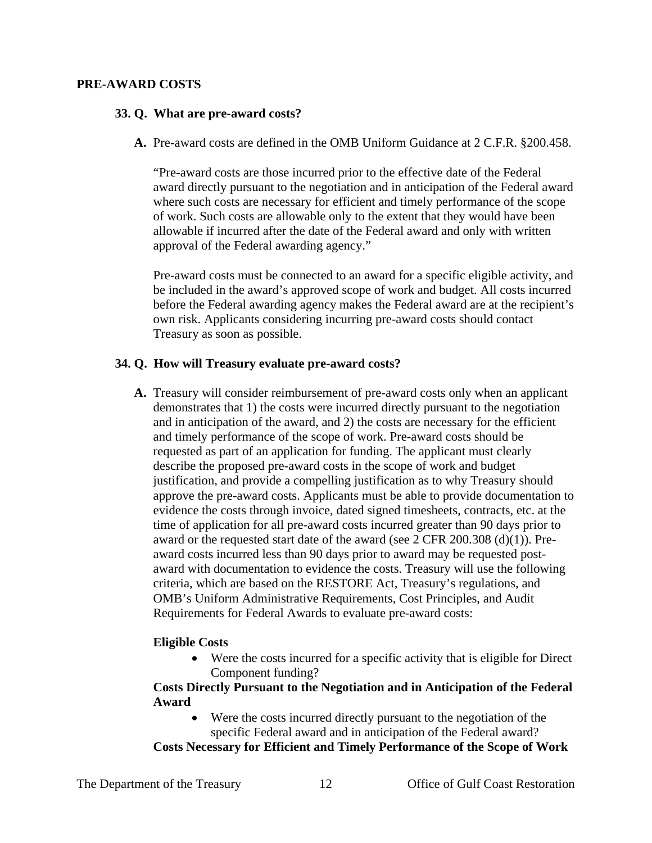#### **PRE-AWARD COSTS**

#### **33. Q. What are pre-award costs?**

**A.** Pre-award costs are defined in the OMB Uniform Guidance at 2 C.F.R. §200.458.

"Pre-award costs are those incurred prior to the effective date of the Federal award directly pursuant to the negotiation and in anticipation of the Federal award where such costs are necessary for efficient and timely performance of the scope of work. Such costs are allowable only to the extent that they would have been allowable if incurred after the date of the Federal award and only with written approval of the Federal awarding agency."

Pre-award costs must be connected to an award for a specific eligible activity, and be included in the award's approved scope of work and budget. All costs incurred before the Federal awarding agency makes the Federal award are at the recipient's own risk. Applicants considering incurring pre-award costs should contact Treasury as soon as possible.

### **34. Q. How will Treasury evaluate pre-award costs?**

**A.** Treasury will consider reimbursement of pre-award costs only when an applicant demonstrates that 1) the costs were incurred directly pursuant to the negotiation and in anticipation of the award, and 2) the costs are necessary for the efficient and timely performance of the scope of work. Pre-award costs should be requested as part of an application for funding. The applicant must clearly describe the proposed pre-award costs in the scope of work and budget justification, and provide a compelling justification as to why Treasury should approve the pre-award costs. Applicants must be able to provide documentation to evidence the costs through invoice, dated signed timesheets, contracts, etc. at the time of application for all pre-award costs incurred greater than 90 days prior to award or the requested start date of the award (see  $2$  CFR 200.308 (d)(1)). Preaward costs incurred less than 90 days prior to award may be requested postaward with documentation to evidence the costs. Treasury will use the following criteria, which are based on the RESTORE Act, Treasury's regulations, and OMB's Uniform Administrative Requirements, Cost Principles, and Audit Requirements for Federal Awards to evaluate pre-award costs:

### **Eligible Costs**

• Were the costs incurred for a specific activity that is eligible for Direct Component funding?

### **Costs Directly Pursuant to the Negotiation and in Anticipation of the Federal Award**

Were the costs incurred directly pursuant to the negotiation of the specific Federal award and in anticipation of the Federal award?

**Costs Necessary for Efficient and Timely Performance of the Scope of Work**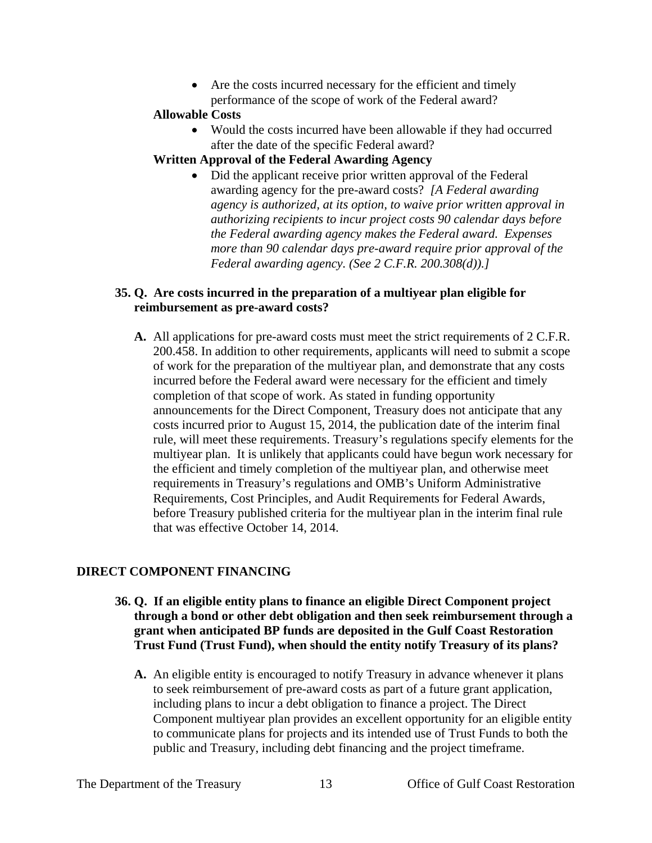• Are the costs incurred necessary for the efficient and timely performance of the scope of work of the Federal award?

### **Allowable Costs**

- Would the costs incurred have been allowable if they had occurred after the date of the specific Federal award?
- **Written Approval of the Federal Awarding Agency**
	- Did the applicant receive prior written approval of the Federal awarding agency for the pre-award costs? *[A Federal awarding agency is authorized, at its option, to waive prior written approval in authorizing recipients to incur project costs 90 calendar days before the Federal awarding agency makes the Federal award. Expenses more than 90 calendar days pre-award require prior approval of the Federal awarding agency. (See 2 C.F.R. 200.308(d)).]*

### **35. Q. Are costs incurred in the preparation of a multiyear plan eligible for reimbursement as pre-award costs?**

**A.** All applications for pre-award costs must meet the strict requirements of 2 C.F.R. 200.458. In addition to other requirements, applicants will need to submit a scope of work for the preparation of the multiyear plan, and demonstrate that any costs incurred before the Federal award were necessary for the efficient and timely completion of that scope of work. As stated in funding opportunity announcements for the Direct Component, Treasury does not anticipate that any costs incurred prior to August 15, 2014, the publication date of the interim final rule, will meet these requirements. Treasury's regulations specify elements for the multiyear plan. It is unlikely that applicants could have begun work necessary for the efficient and timely completion of the multiyear plan, and otherwise meet requirements in Treasury's regulations and OMB's Uniform Administrative Requirements, Cost Principles, and Audit Requirements for Federal Awards, before Treasury published criteria for the multiyear plan in the interim final rule that was effective October 14, 2014.

### **DIRECT COMPONENT FINANCING**

- **36. Q. If an eligible entity plans to finance an eligible Direct Component project through a bond or other debt obligation and then seek reimbursement through a grant when anticipated BP funds are deposited in the Gulf Coast Restoration Trust Fund (Trust Fund), when should the entity notify Treasury of its plans?**
	- **A.** An eligible entity is encouraged to notify Treasury in advance whenever it plans to seek reimbursement of pre-award costs as part of a future grant application, including plans to incur a debt obligation to finance a project. The Direct Component multiyear plan provides an excellent opportunity for an eligible entity to communicate plans for projects and its intended use of Trust Funds to both the public and Treasury, including debt financing and the project timeframe.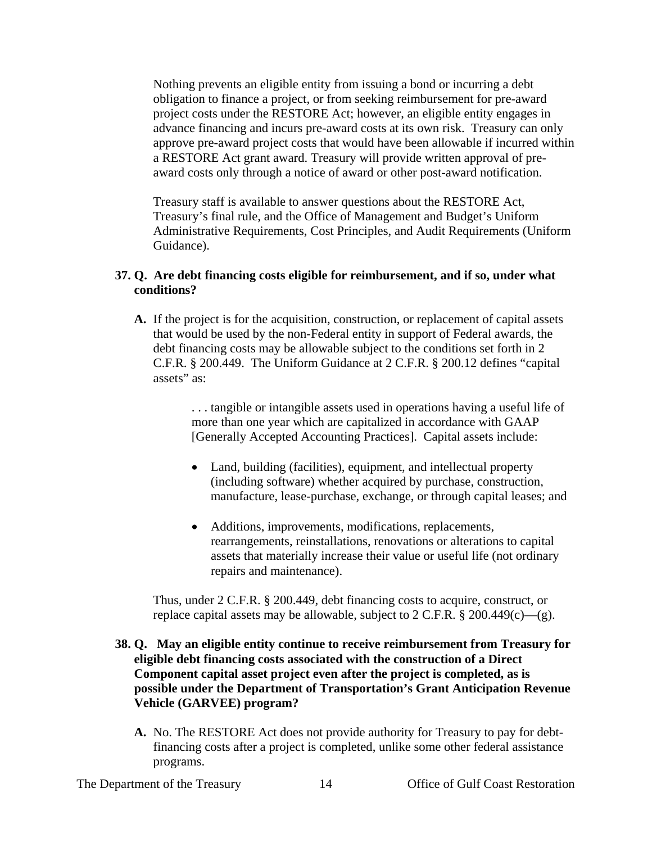Nothing prevents an eligible entity from issuing a bond or incurring a debt obligation to finance a project, or from seeking reimbursement for pre-award project costs under the RESTORE Act; however, an eligible entity engages in advance financing and incurs pre-award costs at its own risk. Treasury can only approve pre-award project costs that would have been allowable if incurred within a RESTORE Act grant award. Treasury will provide written approval of preaward costs only through a notice of award or other post-award notification.

Treasury staff is available to answer questions about the RESTORE Act, Treasury's final rule, and the Office of Management and Budget's Uniform Administrative Requirements, Cost Principles, and Audit Requirements (Uniform Guidance).

### **37. Q. Are debt financing costs eligible for reimbursement, and if so, under what conditions?**

**A.** If the project is for the acquisition, construction, or replacement of capital assets that would be used by the non-Federal entity in support of Federal awards, the debt financing costs may be allowable subject to the conditions set forth in 2 C.F.R. § 200.449. The Uniform Guidance at 2 C.F.R. § 200.12 defines "capital assets" as:

> . . . tangible or intangible assets used in operations having a useful life of more than one year which are capitalized in accordance with GAAP [Generally Accepted Accounting Practices]. Capital assets include:

- Land, building (facilities), equipment, and intellectual property (including software) whether acquired by purchase, construction, manufacture, lease-purchase, exchange, or through capital leases; and
- Additions, improvements, modifications, replacements, rearrangements, reinstallations, renovations or alterations to capital assets that materially increase their value or useful life (not ordinary repairs and maintenance).

Thus, under 2 C.F.R. § 200.449, debt financing costs to acquire, construct, or replace capital assets may be allowable, subject to 2 C.F.R.  $\S$  200.449(c)—(g).

### **38. Q. May an eligible entity continue to receive reimbursement from Treasury for eligible debt financing costs associated with the construction of a Direct Component capital asset project even after the project is completed, as is possible under the Department of Transportation's Grant Anticipation Revenue Vehicle (GARVEE) program?**

**A.** No. The RESTORE Act does not provide authority for Treasury to pay for debtfinancing costs after a project is completed, unlike some other federal assistance programs.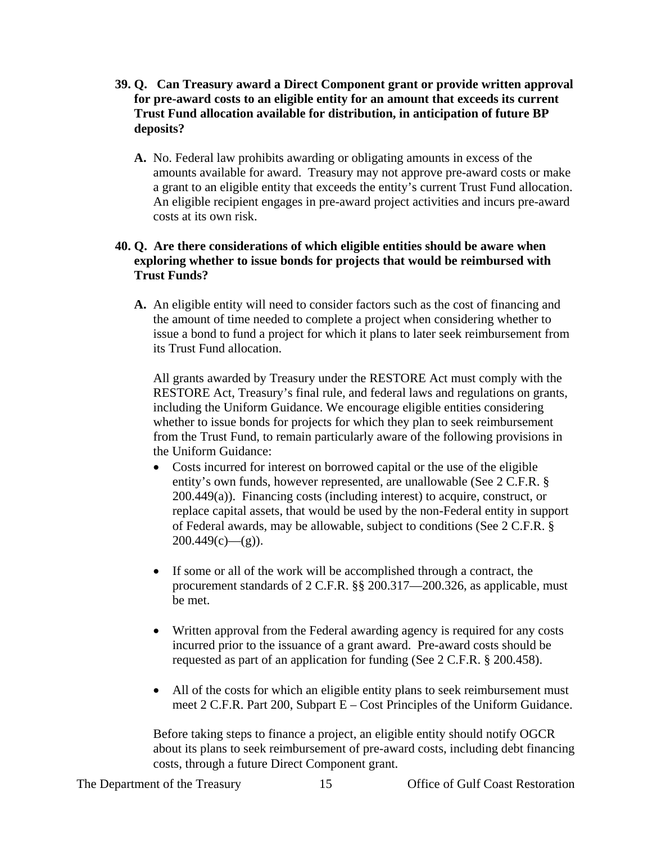- **39. Q. Can Treasury award a Direct Component grant or provide written approval for pre-award costs to an eligible entity for an amount that exceeds its current Trust Fund allocation available for distribution, in anticipation of future BP deposits?**
	- **A.** No. Federal law prohibits awarding or obligating amounts in excess of the amounts available for award. Treasury may not approve pre-award costs or make a grant to an eligible entity that exceeds the entity's current Trust Fund allocation. An eligible recipient engages in pre-award project activities and incurs pre-award costs at its own risk.

### **40. Q. Are there considerations of which eligible entities should be aware when exploring whether to issue bonds for projects that would be reimbursed with Trust Funds?**

**A.** An eligible entity will need to consider factors such as the cost of financing and the amount of time needed to complete a project when considering whether to issue a bond to fund a project for which it plans to later seek reimbursement from its Trust Fund allocation.

All grants awarded by Treasury under the RESTORE Act must comply with the RESTORE Act, Treasury's final rule, and federal laws and regulations on grants, including the Uniform Guidance. We encourage eligible entities considering whether to issue bonds for projects for which they plan to seek reimbursement from the Trust Fund, to remain particularly aware of the following provisions in the Uniform Guidance:

- Costs incurred for interest on borrowed capital or the use of the eligible entity's own funds, however represented, are unallowable (See 2 C.F.R. § 200.449(a)). Financing costs (including interest) to acquire, construct, or replace capital assets, that would be used by the non-Federal entity in support of Federal awards, may be allowable, subject to conditions (See 2 C.F.R. §  $200.449(c)$ —(g)).
- If some or all of the work will be accomplished through a contract, the procurement standards of 2 C.F.R. §§ 200.317—200.326, as applicable, must be met.
- Written approval from the Federal awarding agency is required for any costs incurred prior to the issuance of a grant award. Pre-award costs should be requested as part of an application for funding (See 2 C.F.R. § 200.458).
- All of the costs for which an eligible entity plans to seek reimbursement must meet 2 C.F.R. Part 200, Subpart E – Cost Principles of the Uniform Guidance.

Before taking steps to finance a project, an eligible entity should notify OGCR about its plans to seek reimbursement of pre-award costs, including debt financing costs, through a future Direct Component grant.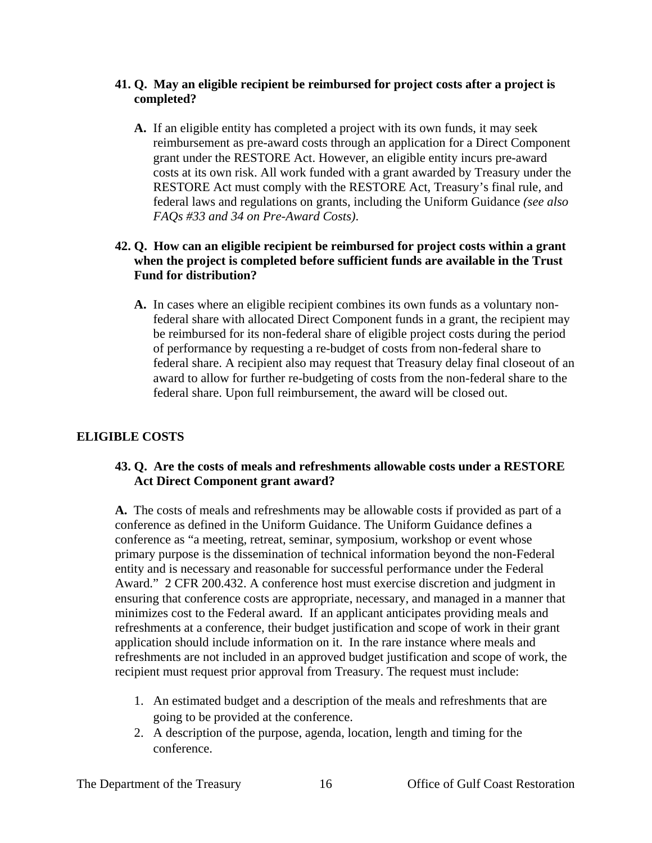### **41. Q. May an eligible recipient be reimbursed for project costs after a project is completed?**

**A.** If an eligible entity has completed a project with its own funds, it may seek reimbursement as pre-award costs through an application for a Direct Component grant under the RESTORE Act. However, an eligible entity incurs pre-award costs at its own risk. All work funded with a grant awarded by Treasury under the RESTORE Act must comply with the RESTORE Act, Treasury's final rule, and federal laws and regulations on grants, including the Uniform Guidance *(see also FAQs #33 and 34 on Pre-Award Costs)*.

### **42. Q. How can an eligible recipient be reimbursed for project costs within a grant when the project is completed before sufficient funds are available in the Trust Fund for distribution?**

**A.** In cases where an eligible recipient combines its own funds as a voluntary nonfederal share with allocated Direct Component funds in a grant, the recipient may be reimbursed for its non-federal share of eligible project costs during the period of performance by requesting a re-budget of costs from non-federal share to federal share. A recipient also may request that Treasury delay final closeout of an award to allow for further re-budgeting of costs from the non-federal share to the federal share. Upon full reimbursement, the award will be closed out.

## **ELIGIBLE COSTS**

## **43. Q. Are the costs of meals and refreshments allowable costs under a RESTORE Act Direct Component grant award?**

**A.** The costs of meals and refreshments may be allowable costs if provided as part of a conference as defined in the Uniform Guidance. The Uniform Guidance defines a conference as "a meeting, retreat, seminar, symposium, workshop or event whose primary purpose is the dissemination of technical information beyond the non-Federal entity and is necessary and reasonable for successful performance under the Federal Award." 2 CFR 200.432. A conference host must exercise discretion and judgment in ensuring that conference costs are appropriate, necessary, and managed in a manner that minimizes cost to the Federal award. If an applicant anticipates providing meals and refreshments at a conference, their budget justification and scope of work in their grant application should include information on it. In the rare instance where meals and refreshments are not included in an approved budget justification and scope of work, the recipient must request prior approval from Treasury. The request must include:

- 1. An estimated budget and a description of the meals and refreshments that are going to be provided at the conference.
- 2. A description of the purpose, agenda, location, length and timing for the conference.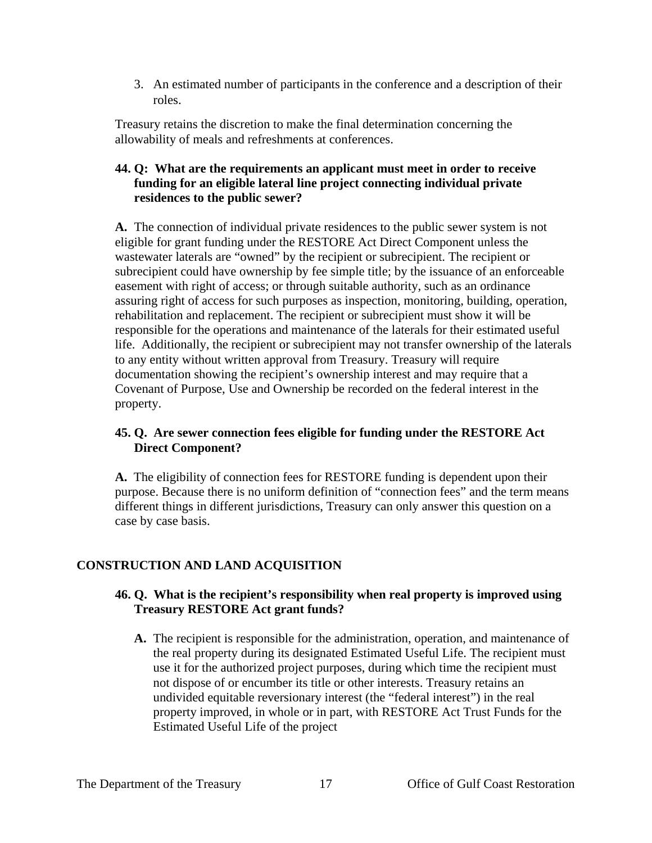3. An estimated number of participants in the conference and a description of their roles.

Treasury retains the discretion to make the final determination concerning the allowability of meals and refreshments at conferences.

### **44. Q: What are the requirements an applicant must meet in order to receive funding for an eligible lateral line project connecting individual private residences to the public sewer?**

**A.** The connection of individual private residences to the public sewer system is not eligible for grant funding under the RESTORE Act Direct Component unless the wastewater laterals are "owned" by the recipient or subrecipient. The recipient or subrecipient could have ownership by fee simple title; by the issuance of an enforceable easement with right of access; or through suitable authority, such as an ordinance assuring right of access for such purposes as inspection, monitoring, building, operation, rehabilitation and replacement. The recipient or subrecipient must show it will be responsible for the operations and maintenance of the laterals for their estimated useful life. Additionally, the recipient or subrecipient may not transfer ownership of the laterals to any entity without written approval from Treasury. Treasury will require documentation showing the recipient's ownership interest and may require that a Covenant of Purpose, Use and Ownership be recorded on the federal interest in the property.

## **45. Q. Are sewer connection fees eligible for funding under the RESTORE Act Direct Component?**

**A.** The eligibility of connection fees for RESTORE funding is dependent upon their purpose. Because there is no uniform definition of "connection fees" and the term means different things in different jurisdictions, Treasury can only answer this question on a case by case basis.

# **CONSTRUCTION AND LAND ACQUISITION**

## **46. Q. What is the recipient's responsibility when real property is improved using Treasury RESTORE Act grant funds?**

**A.** The recipient is responsible for the administration, operation, and maintenance of the real property during its designated Estimated Useful Life. The recipient must use it for the authorized project purposes, during which time the recipient must not dispose of or encumber its title or other interests. Treasury retains an undivided equitable reversionary interest (the "federal interest") in the real property improved, in whole or in part, with RESTORE Act Trust Funds for the Estimated Useful Life of the project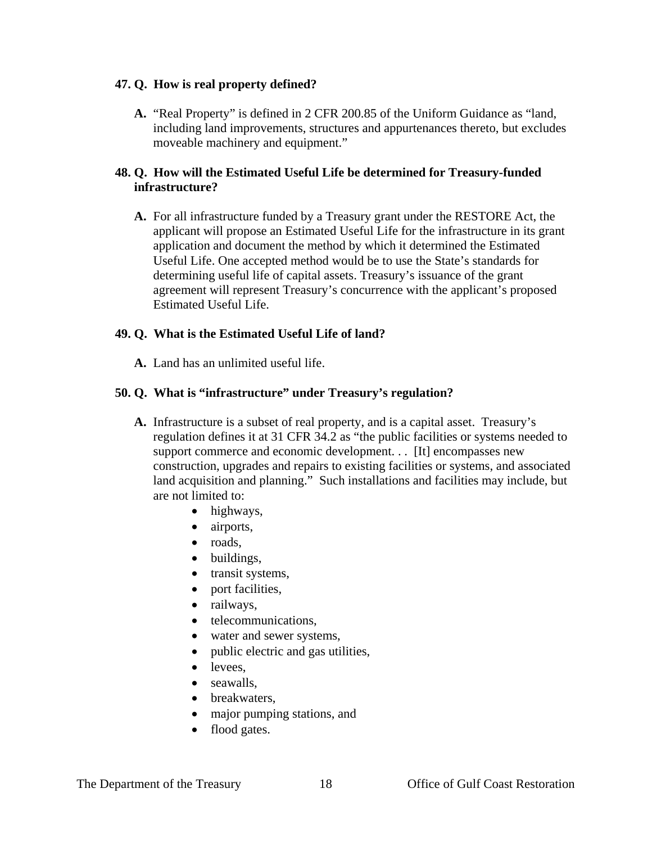### **47. Q. How is real property defined?**

**A.** "Real Property" is defined in 2 CFR 200.85 of the Uniform Guidance as "land, including land improvements, structures and appurtenances thereto, but excludes moveable machinery and equipment."

### **48. Q. How will the Estimated Useful Life be determined for Treasury-funded infrastructure?**

**A.** For all infrastructure funded by a Treasury grant under the RESTORE Act, the applicant will propose an Estimated Useful Life for the infrastructure in its grant application and document the method by which it determined the Estimated Useful Life. One accepted method would be to use the State's standards for determining useful life of capital assets. Treasury's issuance of the grant agreement will represent Treasury's concurrence with the applicant's proposed Estimated Useful Life.

### **49. Q. What is the Estimated Useful Life of land?**

**A.** Land has an unlimited useful life.

## **50. Q. What is "infrastructure" under Treasury's regulation?**

- **A.** Infrastructure is a subset of real property, and is a capital asset. Treasury's regulation defines it at 31 CFR 34.2 as "the public facilities or systems needed to support commerce and economic development. . . [It] encompasses new construction, upgrades and repairs to existing facilities or systems, and associated land acquisition and planning." Such installations and facilities may include, but are not limited to:
	- highways,
	- airports,
	- roads,
	- buildings,
	- transit systems,
	- port facilities,
	- railways,
	- telecommunications,
	- water and sewer systems,
	- public electric and gas utilities,
	- levees.
	- seawalls.
	- breakwaters.
	- major pumping stations, and
	- flood gates.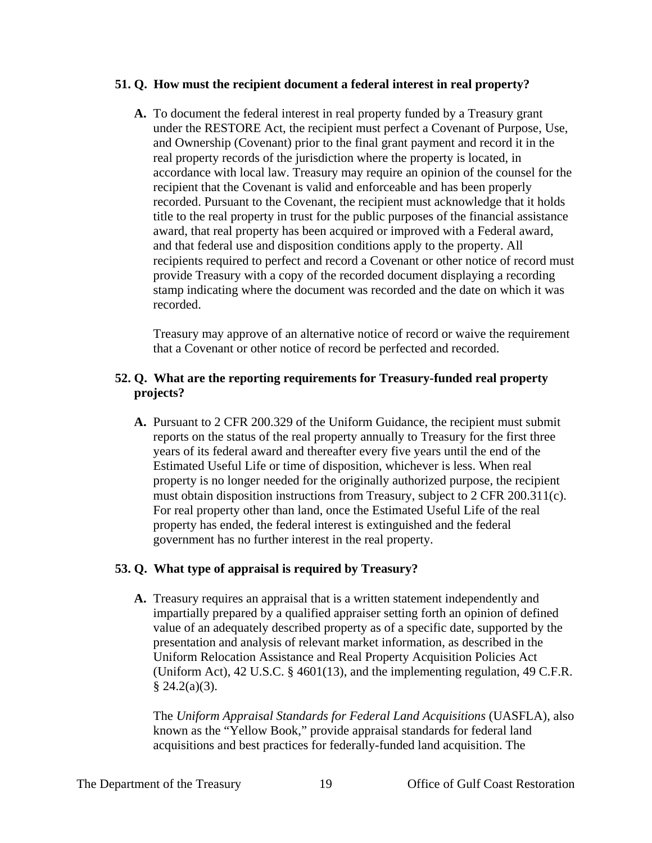### **51. Q. How must the recipient document a federal interest in real property?**

**A.** To document the federal interest in real property funded by a Treasury grant under the RESTORE Act, the recipient must perfect a Covenant of Purpose, Use, and Ownership (Covenant) prior to the final grant payment and record it in the real property records of the jurisdiction where the property is located, in accordance with local law. Treasury may require an opinion of the counsel for the recipient that the Covenant is valid and enforceable and has been properly recorded. Pursuant to the Covenant, the recipient must acknowledge that it holds title to the real property in trust for the public purposes of the financial assistance award, that real property has been acquired or improved with a Federal award, and that federal use and disposition conditions apply to the property. All recipients required to perfect and record a Covenant or other notice of record must provide Treasury with a copy of the recorded document displaying a recording stamp indicating where the document was recorded and the date on which it was recorded.

Treasury may approve of an alternative notice of record or waive the requirement that a Covenant or other notice of record be perfected and recorded.

### **52. Q. What are the reporting requirements for Treasury-funded real property projects?**

**A.** Pursuant to 2 CFR 200.329 of the Uniform Guidance, the recipient must submit reports on the status of the real property annually to Treasury for the first three years of its federal award and thereafter every five years until the end of the Estimated Useful Life or time of disposition, whichever is less. When real property is no longer needed for the originally authorized purpose, the recipient must obtain disposition instructions from Treasury, subject to 2 CFR 200.311(c). For real property other than land, once the Estimated Useful Life of the real property has ended, the federal interest is extinguished and the federal government has no further interest in the real property.

### **53. Q. What type of appraisal is required by Treasury?**

**A.** Treasury requires an appraisal that is a written statement independently and impartially prepared by a qualified appraiser setting forth an opinion of defined value of an adequately described property as of a specific date, supported by the presentation and analysis of relevant market information, as described in the Uniform Relocation Assistance and Real Property Acquisition Policies Act (Uniform Act), 42 U.S.C. § 4601(13), and the implementing regulation, 49 C.F.R.  $§$  24.2(a)(3).

The *Uniform Appraisal Standards for Federal Land Acquisitions* (UASFLA), also known as the "Yellow Book," provide appraisal standards for federal land acquisitions and best practices for federally-funded land acquisition. The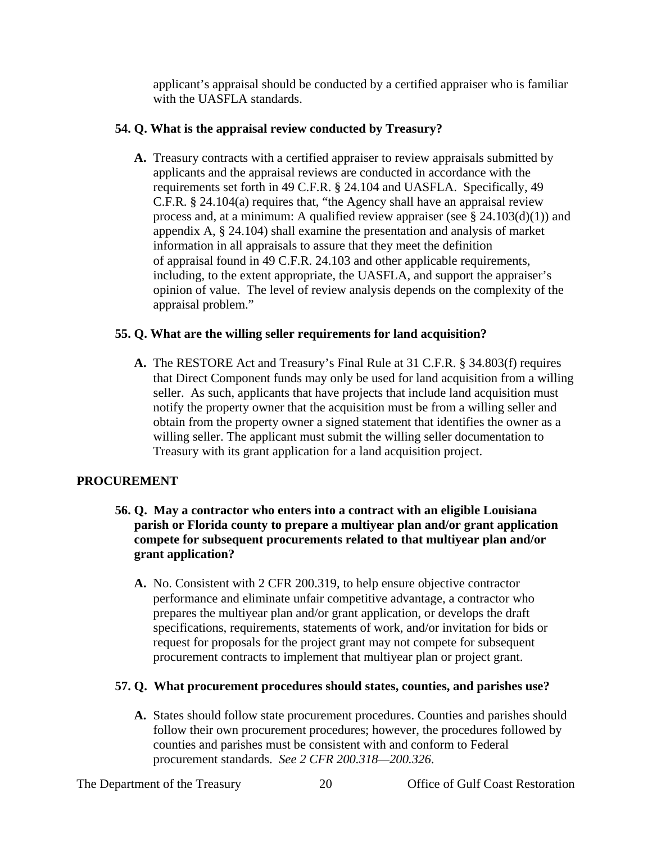applicant's appraisal should be conducted by a certified appraiser who is familiar with the UASFLA standards.

### **54. Q. What is the appraisal review conducted by Treasury?**

**A.** Treasury contracts with a certified appraiser to review appraisals submitted by applicants and the appraisal reviews are conducted in accordance with the requirements set forth in 49 C.F.R. **§** 24.104 and UASFLA. Specifically, 49 C.F.R. **§** 24.104(a) requires that, "the Agency shall have an appraisal review process and, at a minimum: A qualified review appraiser (see  $\S$  24.103(d)(1)) and appendix A, § 24.104) shall examine the presentation and analysis of market information in all appraisals to assure that they meet the definition of appraisal found in 49 C.F.R. 24.103 and other applicable requirements, including, to the extent appropriate, the UASFLA, and support the appraiser's opinion of value. The level of review analysis depends on the complexity of the appraisal problem."

## **55. Q. What are the willing seller requirements for land acquisition?**

**A.** The RESTORE Act and Treasury's Final Rule at 31 C.F.R. § 34.803(f) requires that Direct Component funds may only be used for land acquisition from a willing seller. As such, applicants that have projects that include land acquisition must notify the property owner that the acquisition must be from a willing seller and obtain from the property owner a signed statement that identifies the owner as a willing seller. The applicant must submit the willing seller documentation to Treasury with its grant application for a land acquisition project.

## **PROCUREMENT**

- **56. Q. May a contractor who enters into a contract with an eligible Louisiana parish or Florida county to prepare a multiyear plan and/or grant application compete for subsequent procurements related to that multiyear plan and/or grant application?**
	- **A.** No. Consistent with 2 CFR 200.319, to help ensure objective contractor performance and eliminate unfair competitive advantage, a contractor who prepares the multiyear plan and/or grant application, or develops the draft specifications, requirements, statements of work, and/or invitation for bids or request for proposals for the project grant may not compete for subsequent procurement contracts to implement that multiyear plan or project grant.

### **57. Q. What procurement procedures should states, counties, and parishes use?**

**A.** States should follow state procurement procedures. Counties and parishes should follow their own procurement procedures; however, the procedures followed by counties and parishes must be consistent with and conform to Federal procurement standards. *See 2 CFR 200.318—200.326*.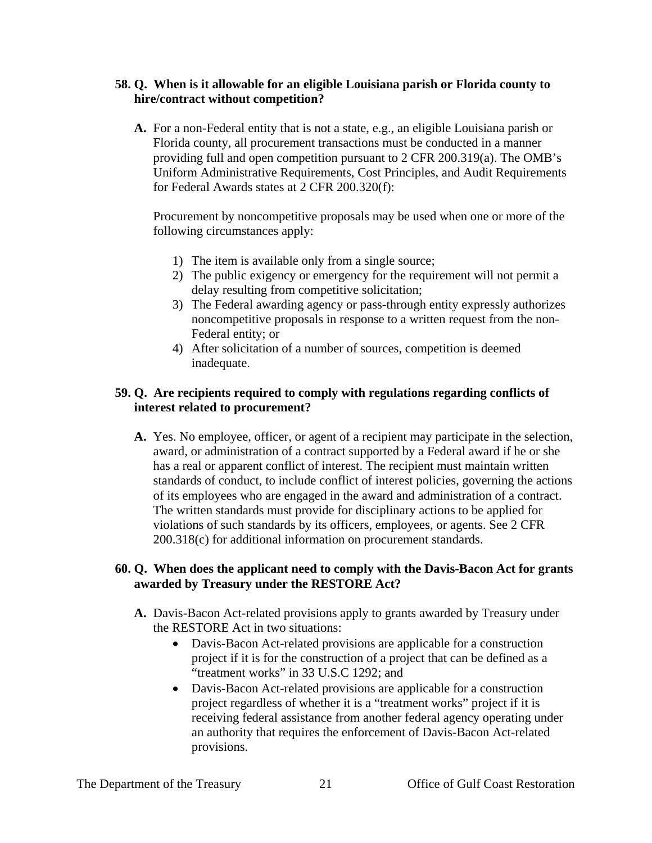### **58. Q. When is it allowable for an eligible Louisiana parish or Florida county to hire/contract without competition?**

**A.** For a non-Federal entity that is not a state, e.g., an eligible Louisiana parish or Florida county, all procurement transactions must be conducted in a manner providing full and open competition pursuant to 2 CFR 200.319(a). The OMB's Uniform Administrative Requirements, Cost Principles, and Audit Requirements for Federal Awards states at 2 CFR 200.320(f):

Procurement by noncompetitive proposals may be used when one or more of the following circumstances apply:

- 1) The item is available only from a single source;
- 2) The public exigency or emergency for the requirement will not permit a delay resulting from competitive solicitation;
- 3) The Federal awarding agency or pass-through entity expressly authorizes noncompetitive proposals in response to a written request from the non-Federal entity; or
- 4) After solicitation of a number of sources, competition is deemed inadequate.

### **59. Q. Are recipients required to comply with regulations regarding conflicts of interest related to procurement?**

**A.** Yes. No employee, officer, or agent of a recipient may participate in the selection, award, or administration of a contract supported by a Federal award if he or she has a real or apparent conflict of interest. The recipient must maintain written standards of conduct, to include conflict of interest policies, governing the actions of its employees who are engaged in the award and administration of a contract. The written standards must provide for disciplinary actions to be applied for violations of such standards by its officers, employees, or agents. See 2 CFR 200.318(c) for additional information on procurement standards.

### **60. Q. When does the applicant need to comply with the Davis-Bacon Act for grants awarded by Treasury under the RESTORE Act?**

- **A.** Davis-Bacon Act-related provisions apply to grants awarded by Treasury under the RESTORE Act in two situations:
	- Davis-Bacon Act-related provisions are applicable for a construction project if it is for the construction of a project that can be defined as a "treatment works" in 33 U.S.C 1292; and
	- Davis-Bacon Act-related provisions are applicable for a construction project regardless of whether it is a "treatment works" project if it is receiving federal assistance from another federal agency operating under an authority that requires the enforcement of Davis-Bacon Act-related provisions.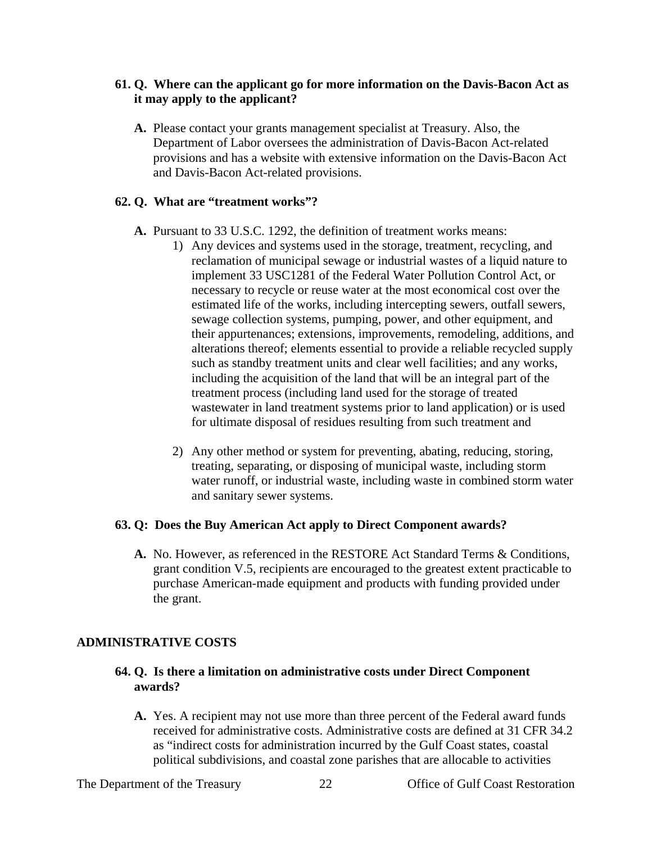### **61. Q. Where can the applicant go for more information on the Davis-Bacon Act as it may apply to the applicant?**

**A.** Please contact your grants management specialist at Treasury. Also, the Department of Labor oversees the administration of Davis-Bacon Act-related provisions and has a website with extensive information on the Davis-Bacon Act and Davis-Bacon Act-related provisions.

### **62. Q. What are "treatment works"?**

- **A.** Pursuant to 33 U.S.C. 1292, the definition of treatment works means:
	- 1) Any devices and systems used in the storage, treatment, recycling, and reclamation of municipal sewage or industrial wastes of a liquid nature to implement 33 USC1281 of the Federal Water Pollution Control Act, or necessary to recycle or reuse water at the most economical cost over the estimated life of the works, including intercepting sewers, outfall sewers, sewage collection systems, pumping, power, and other equipment, and their appurtenances; extensions, improvements, remodeling, additions, and alterations thereof; elements essential to provide a reliable recycled supply such as standby treatment units and clear well facilities; and any works, including the acquisition of the land that will be an integral part of the treatment process (including land used for the storage of treated wastewater in land treatment systems prior to land application) or is used for ultimate disposal of residues resulting from such treatment and
	- 2) Any other method or system for preventing, abating, reducing, storing, treating, separating, or disposing of municipal waste, including storm water runoff, or industrial waste, including waste in combined storm water and sanitary sewer systems.

#### **63. Q: Does the Buy American Act apply to Direct Component awards?**

**A.** No. However, as referenced in the RESTORE Act Standard Terms & Conditions, grant condition V.5, recipients are encouraged to the greatest extent practicable to purchase American-made equipment and products with funding provided under the grant.

### **ADMINISTRATIVE COSTS**

### **64. Q. Is there a limitation on administrative costs under Direct Component awards?**

**A.** Yes. A recipient may not use more than three percent of the Federal award funds received for administrative costs. Administrative costs are defined at 31 CFR 34.2 as "indirect costs for administration incurred by the Gulf Coast states, coastal political subdivisions, and coastal zone parishes that are allocable to activities

The Department of the Treasury 22 Office of Gulf Coast Restoration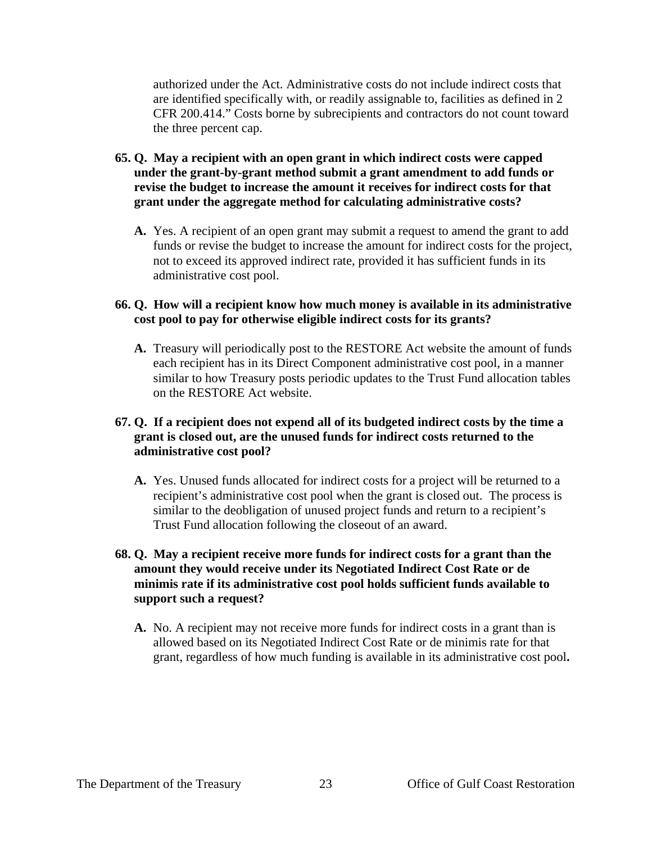authorized under the Act. Administrative costs do not include indirect costs that are identified specifically with, or readily assignable to, facilities as defined in 2 CFR 200.414." Costs borne by subrecipients and contractors do not count toward the three percent cap.

- **65. Q. May a recipient with an open grant in which indirect costs were capped under the grant-by-grant method submit a grant amendment to add funds or revise the budget to increase the amount it receives for indirect costs for that grant under the aggregate method for calculating administrative costs?**
	- **A.** Yes. A recipient of an open grant may submit a request to amend the grant to add funds or revise the budget to increase the amount for indirect costs for the project, not to exceed its approved indirect rate, provided it has sufficient funds in its administrative cost pool.

### **66. Q. How will a recipient know how much money is available in its administrative cost pool to pay for otherwise eligible indirect costs for its grants?**

**A.** Treasury will periodically post to the RESTORE Act website the amount of funds each recipient has in its Direct Component administrative cost pool, in a manner similar to how Treasury posts periodic updates to the Trust Fund allocation tables on the RESTORE Act website.

### **67. Q. If a recipient does not expend all of its budgeted indirect costs by the time a grant is closed out, are the unused funds for indirect costs returned to the administrative cost pool?**

**A.** Yes. Unused funds allocated for indirect costs for a project will be returned to a recipient's administrative cost pool when the grant is closed out. The process is similar to the deobligation of unused project funds and return to a recipient's Trust Fund allocation following the closeout of an award.

### **68. Q. May a recipient receive more funds for indirect costs for a grant than the amount they would receive under its Negotiated Indirect Cost Rate or de minimis rate if its administrative cost pool holds sufficient funds available to support such a request?**

**A.** No. A recipient may not receive more funds for indirect costs in a grant than is allowed based on its Negotiated Indirect Cost Rate or de minimis rate for that grant, regardless of how much funding is available in its administrative cost pool**.**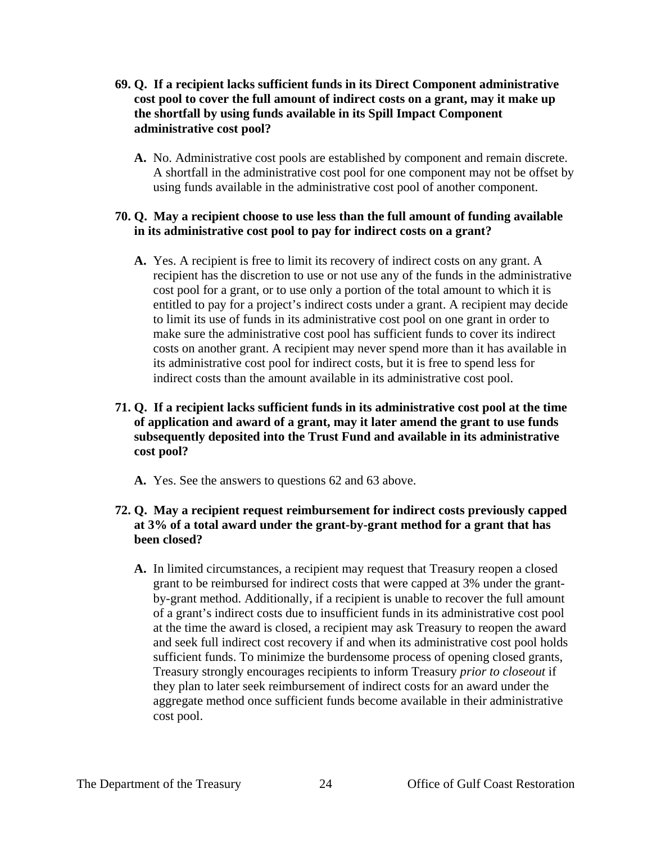- **69. Q. If a recipient lacks sufficient funds in its Direct Component administrative cost pool to cover the full amount of indirect costs on a grant, may it make up the shortfall by using funds available in its Spill Impact Component administrative cost pool?**
	- **A.** No. Administrative cost pools are established by component and remain discrete. A shortfall in the administrative cost pool for one component may not be offset by using funds available in the administrative cost pool of another component.

### **70. Q. May a recipient choose to use less than the full amount of funding available in its administrative cost pool to pay for indirect costs on a grant?**

**A.** Yes. A recipient is free to limit its recovery of indirect costs on any grant. A recipient has the discretion to use or not use any of the funds in the administrative cost pool for a grant, or to use only a portion of the total amount to which it is entitled to pay for a project's indirect costs under a grant. A recipient may decide to limit its use of funds in its administrative cost pool on one grant in order to make sure the administrative cost pool has sufficient funds to cover its indirect costs on another grant. A recipient may never spend more than it has available in its administrative cost pool for indirect costs, but it is free to spend less for indirect costs than the amount available in its administrative cost pool.

### **71. Q. If a recipient lacks sufficient funds in its administrative cost pool at the time of application and award of a grant, may it later amend the grant to use funds subsequently deposited into the Trust Fund and available in its administrative cost pool?**

**A.** Yes. See the answers to questions 62 and 63 above.

## **72. Q. May a recipient request reimbursement for indirect costs previously capped at 3% of a total award under the grant-by-grant method for a grant that has been closed?**

**A.** In limited circumstances, a recipient may request that Treasury reopen a closed grant to be reimbursed for indirect costs that were capped at 3% under the grantby-grant method. Additionally, if a recipient is unable to recover the full amount of a grant's indirect costs due to insufficient funds in its administrative cost pool at the time the award is closed, a recipient may ask Treasury to reopen the award and seek full indirect cost recovery if and when its administrative cost pool holds sufficient funds. To minimize the burdensome process of opening closed grants, Treasury strongly encourages recipients to inform Treasury *prior to closeout* if they plan to later seek reimbursement of indirect costs for an award under the aggregate method once sufficient funds become available in their administrative cost pool.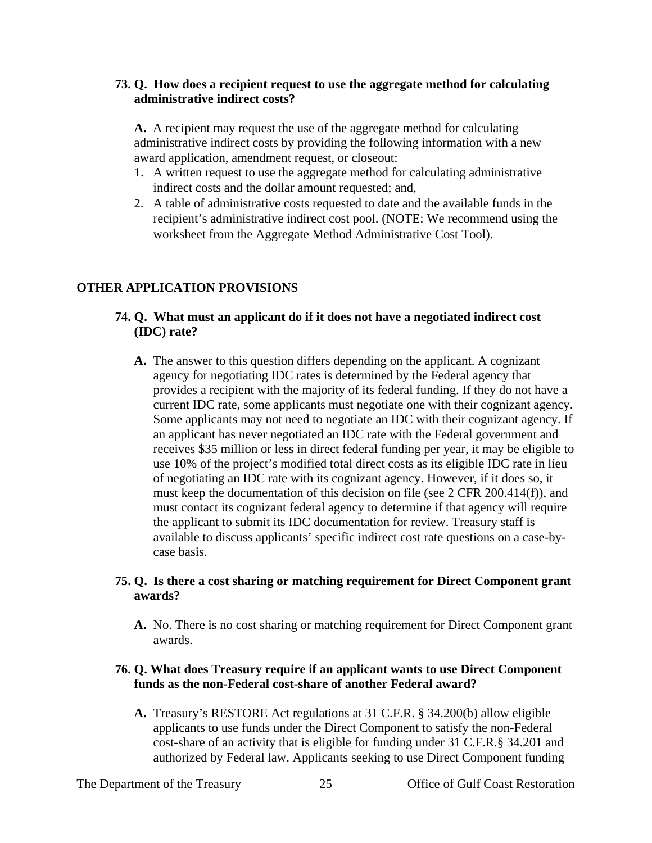### **73. Q. How does a recipient request to use the aggregate method for calculating administrative indirect costs?**

**A.** A recipient may request the use of the aggregate method for calculating administrative indirect costs by providing the following information with a new award application, amendment request, or closeout:

- 1. A written request to use the aggregate method for calculating administrative indirect costs and the dollar amount requested; and,
- 2. A table of administrative costs requested to date and the available funds in the recipient's administrative indirect cost pool. (NOTE: We recommend using the worksheet from the Aggregate Method Administrative Cost Tool).

## **OTHER APPLICATION PROVISIONS**

## **74. Q. What must an applicant do if it does not have a negotiated indirect cost (IDC) rate?**

**A.** The answer to this question differs depending on the applicant. A cognizant agency for negotiating IDC rates is determined by the Federal agency that provides a recipient with the majority of its federal funding. If they do not have a current IDC rate, some applicants must negotiate one with their cognizant agency. Some applicants may not need to negotiate an IDC with their cognizant agency. If an applicant has never negotiated an IDC rate with the Federal government and receives \$35 million or less in direct federal funding per year, it may be eligible to use 10% of the project's modified total direct costs as its eligible IDC rate in lieu of negotiating an IDC rate with its cognizant agency. However, if it does so, it must keep the documentation of this decision on file (see 2 CFR 200.414(f)), and must contact its cognizant federal agency to determine if that agency will require the applicant to submit its IDC documentation for review. Treasury staff is available to discuss applicants' specific indirect cost rate questions on a case-bycase basis.

### **75. Q. Is there a cost sharing or matching requirement for Direct Component grant awards?**

**A.** No. There is no cost sharing or matching requirement for Direct Component grant awards.

### **76. Q. What does Treasury require if an applicant wants to use Direct Component funds as the non-Federal cost-share of another Federal award?**

**A.** Treasury's RESTORE Act regulations at 31 C.F.R. § 34.200(b) allow eligible applicants to use funds under the Direct Component to satisfy the non-Federal cost-share of an activity that is eligible for funding under 31 C.F.R.§ 34.201 and authorized by Federal law. Applicants seeking to use Direct Component funding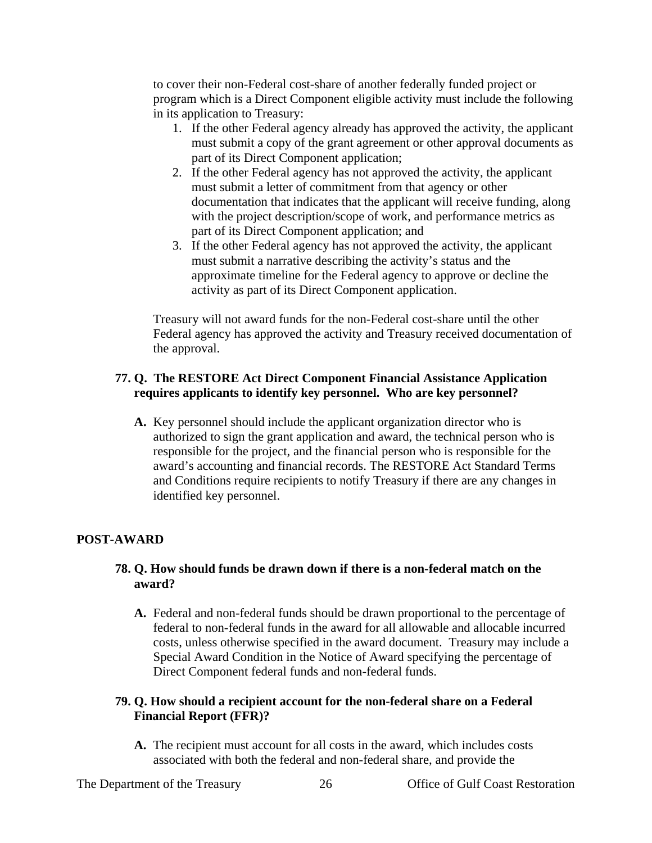to cover their non-Federal cost-share of another federally funded project or program which is a Direct Component eligible activity must include the following in its application to Treasury:

- 1. If the other Federal agency already has approved the activity, the applicant must submit a copy of the grant agreement or other approval documents as part of its Direct Component application;
- 2. If the other Federal agency has not approved the activity, the applicant must submit a letter of commitment from that agency or other documentation that indicates that the applicant will receive funding, along with the project description/scope of work, and performance metrics as part of its Direct Component application; and
- 3. If the other Federal agency has not approved the activity, the applicant must submit a narrative describing the activity's status and the approximate timeline for the Federal agency to approve or decline the activity as part of its Direct Component application.

Treasury will not award funds for the non-Federal cost-share until the other Federal agency has approved the activity and Treasury received documentation of the approval.

### **77. Q. The RESTORE Act Direct Component Financial Assistance Application requires applicants to identify key personnel. Who are key personnel?**

**A.** Key personnel should include the applicant organization director who is authorized to sign the grant application and award, the technical person who is responsible for the project, and the financial person who is responsible for the award's accounting and financial records. The RESTORE Act Standard Terms and Conditions require recipients to notify Treasury if there are any changes in identified key personnel.

## **POST-AWARD**

### **78. Q. How should funds be drawn down if there is a non-federal match on the award?**

**A.** Federal and non-federal funds should be drawn proportional to the percentage of federal to non-federal funds in the award for all allowable and allocable incurred costs, unless otherwise specified in the award document. Treasury may include a Special Award Condition in the Notice of Award specifying the percentage of Direct Component federal funds and non-federal funds.

### **79. Q. How should a recipient account for the non-federal share on a Federal Financial Report (FFR)?**

**A.** The recipient must account for all costs in the award, which includes costs associated with both the federal and non-federal share, and provide the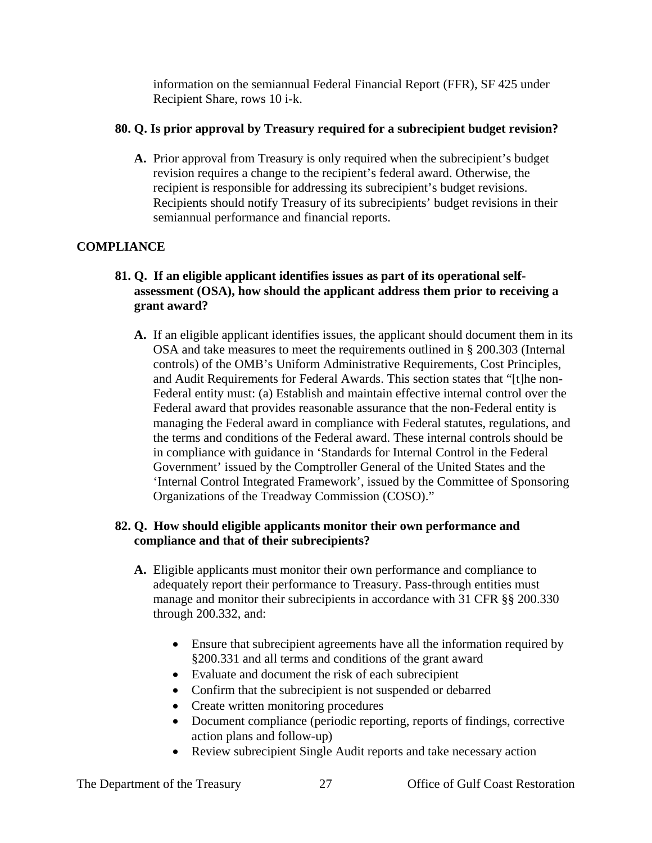information on the semiannual Federal Financial Report (FFR), SF 425 under Recipient Share, rows 10 i-k.

## **80. Q. Is prior approval by Treasury required for a subrecipient budget revision?**

**A.** Prior approval from Treasury is only required when the subrecipient's budget revision requires a change to the recipient's federal award. Otherwise, the recipient is responsible for addressing its subrecipient's budget revisions. Recipients should notify Treasury of its subrecipients' budget revisions in their semiannual performance and financial reports.

# **COMPLIANCE**

## **81. Q. If an eligible applicant identifies issues as part of its operational selfassessment (OSA), how should the applicant address them prior to receiving a grant award?**

**A.** If an eligible applicant identifies issues, the applicant should document them in its OSA and take measures to meet the requirements outlined in § 200.303 (Internal controls) of the OMB's Uniform Administrative Requirements, Cost Principles, and Audit Requirements for Federal Awards. This section states that "[t]he non-Federal entity must: (a) Establish and maintain effective internal control over the Federal award that provides reasonable assurance that the non-Federal entity is managing the Federal award in compliance with Federal statutes, regulations, and the terms and conditions of the Federal award. These internal controls should be in compliance with guidance in 'Standards for Internal Control in the Federal Government' issued by the Comptroller General of the United States and the 'Internal Control Integrated Framework', issued by the Committee of Sponsoring Organizations of the Treadway Commission (COSO)."

## **82. Q. How should eligible applicants monitor their own performance and compliance and that of their subrecipients?**

- **A.** Eligible applicants must monitor their own performance and compliance to adequately report their performance to Treasury. Pass-through entities must manage and monitor their subrecipients in accordance with 31 CFR §§ 200.330 through 200.332, and:
	- Ensure that subrecipient agreements have all the information required by §200.331 and all terms and conditions of the grant award
	- Evaluate and document the risk of each subrecipient
	- Confirm that the subrecipient is not suspended or debarred
	- Create written monitoring procedures
	- Document compliance (periodic reporting, reports of findings, corrective action plans and follow-up)
	- Review subrecipient Single Audit reports and take necessary action